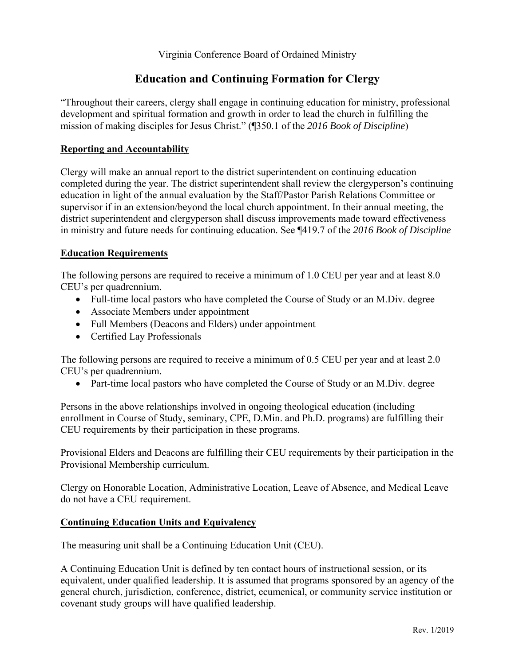Virginia Conference Board of Ordained Ministry

# **Education and Continuing Formation for Clergy**

"Throughout their careers, clergy shall engage in continuing education for ministry, professional development and spiritual formation and growth in order to lead the church in fulfilling the mission of making disciples for Jesus Christ." (¶350.1 of the *2016 Book of Discipline*)

## **Reporting and Accountability**

Clergy will make an annual report to the district superintendent on continuing education completed during the year. The district superintendent shall review the clergyperson's continuing education in light of the annual evaluation by the Staff/Pastor Parish Relations Committee or supervisor if in an extension/beyond the local church appointment. In their annual meeting, the district superintendent and clergyperson shall discuss improvements made toward effectiveness in ministry and future needs for continuing education. See ¶419.7 of the *2016 Book of Discipline*

## **Education Requirements**

The following persons are required to receive a minimum of 1.0 CEU per year and at least 8.0 CEU's per quadrennium.

- Full-time local pastors who have completed the Course of Study or an M.Div. degree
- Associate Members under appointment
- Full Members (Deacons and Elders) under appointment
- Certified Lay Professionals

The following persons are required to receive a minimum of 0.5 CEU per year and at least 2.0 CEU's per quadrennium.

Part-time local pastors who have completed the Course of Study or an M.Div. degree

Persons in the above relationships involved in ongoing theological education (including enrollment in Course of Study, seminary, CPE, D.Min. and Ph.D. programs) are fulfilling their CEU requirements by their participation in these programs.

Provisional Elders and Deacons are fulfilling their CEU requirements by their participation in the Provisional Membership curriculum.

Clergy on Honorable Location, Administrative Location, Leave of Absence, and Medical Leave do not have a CEU requirement.

## **Continuing Education Units and Equivalency**

The measuring unit shall be a Continuing Education Unit (CEU).

A Continuing Education Unit is defined by ten contact hours of instructional session, or its equivalent, under qualified leadership. It is assumed that programs sponsored by an agency of the general church, jurisdiction, conference, district, ecumenical, or community service institution or covenant study groups will have qualified leadership.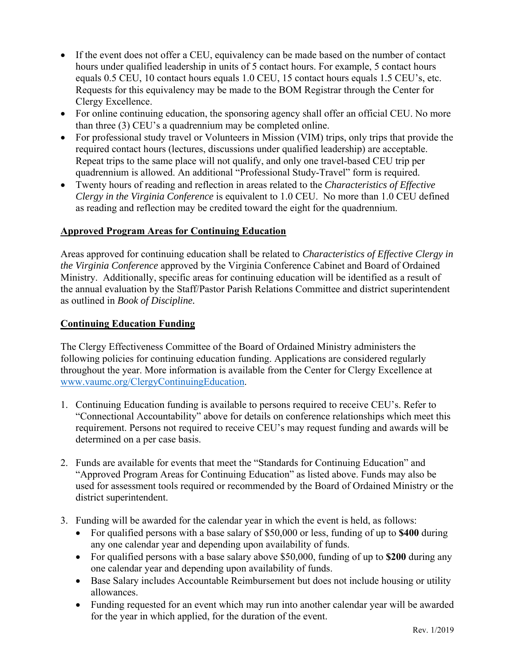- If the event does not offer a CEU, equivalency can be made based on the number of contact hours under qualified leadership in units of 5 contact hours. For example, 5 contact hours equals 0.5 CEU, 10 contact hours equals 1.0 CEU, 15 contact hours equals 1.5 CEU's, etc. Requests for this equivalency may be made to the BOM Registrar through the Center for Clergy Excellence.
- For online continuing education, the sponsoring agency shall offer an official CEU. No more than three (3) CEU's a quadrennium may be completed online.
- For professional study travel or Volunteers in Mission (VIM) trips, only trips that provide the required contact hours (lectures, discussions under qualified leadership) are acceptable. Repeat trips to the same place will not qualify, and only one travel-based CEU trip per quadrennium is allowed. An additional "Professional Study-Travel" form is required.
- Twenty hours of reading and reflection in areas related to the *Characteristics of Effective Clergy in the Virginia Conference* is equivalent to 1.0 CEU. No more than 1.0 CEU defined as reading and reflection may be credited toward the eight for the quadrennium.

#### **Approved Program Areas for Continuing Education**

Areas approved for continuing education shall be related to *Characteristics of Effective Clergy in the Virginia Conference* approved by the Virginia Conference Cabinet and Board of Ordained Ministry. Additionally, specific areas for continuing education will be identified as a result of the annual evaluation by the Staff/Pastor Parish Relations Committee and district superintendent as outlined in *Book of Discipline.*

#### **Continuing Education Funding**

The Clergy Effectiveness Committee of the Board of Ordained Ministry administers the following policies for continuing education funding. Applications are considered regularly throughout the year. More information is available from the Center for Clergy Excellence at www.vaumc.org/ClergyContinuingEducation.

- 1. Continuing Education funding is available to persons required to receive CEU's. Refer to "Connectional Accountability" above for details on conference relationships which meet this requirement. Persons not required to receive CEU's may request funding and awards will be determined on a per case basis.
- 2. Funds are available for events that meet the "Standards for Continuing Education" and "Approved Program Areas for Continuing Education" as listed above. Funds may also be used for assessment tools required or recommended by the Board of Ordained Ministry or the district superintendent.
- 3. Funding will be awarded for the calendar year in which the event is held, as follows:
	- For qualified persons with a base salary of \$50,000 or less, funding of up to **\$400** during any one calendar year and depending upon availability of funds.
	- For qualified persons with a base salary above \$50,000, funding of up to **\$200** during any one calendar year and depending upon availability of funds.
	- Base Salary includes Accountable Reimbursement but does not include housing or utility allowances.
	- Funding requested for an event which may run into another calendar year will be awarded for the year in which applied, for the duration of the event.